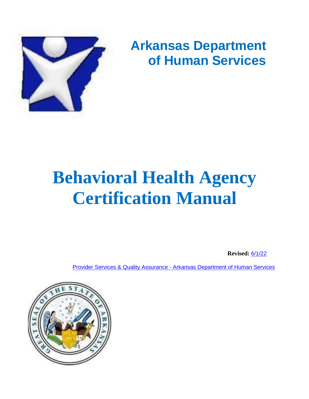

# **Arkansas Department of Human Services**

# **Behavioral Health Agency Certification Manual**

**Revised:** 6/1/22

Provider Services & Quality Assurance - [Arkansas Department of Human Services](https://humanservices.arkansas.gov/divisions-shared-services/provider-services-quality-assurance/)

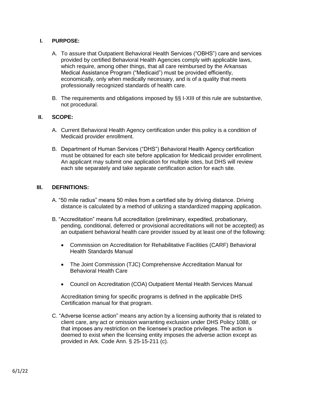# **I. PURPOSE:**

- A. To assure that Outpatient Behavioral Health Services ("OBHS") care and services provided by certified Behavioral Health Agencies comply with applicable laws, which require, among other things, that all care reimbursed by the Arkansas Medical Assistance Program ("Medicaid") must be provided efficiently, economically, only when medically necessary, and is of a quality that meets professionally recognized standards of health care.
- B. The requirements and obligations imposed by §§ I-XIII of this rule are substantive, not procedural.

# **II. SCOPE:**

- A. Current Behavioral Health Agency certification under this policy is a condition of Medicaid provider enrollment.
- B. Department of Human Services ("DHS") Behavioral Health Agency certification must be obtained for each site before application for Medicaid provider enrollment. An applicant may submit one application for multiple sites, but DHS will review each site separately and take separate certification action for each site.

#### **III. DEFINITIONS:**

- A. "50 mile radius" means 50 miles from a certified site by driving distance. Driving distance is calculated by a method of utilizing a standardized mapping application.
- B. "Accreditation" means full accreditation (preliminary, expedited, probationary, pending, conditional, deferred or provisional accreditations will not be accepted) as an outpatient behavioral health care provider issued by at least one of the following:
	- Commission on Accreditation for Rehabilitative Facilities (CARF) Behavioral Health Standards Manual
	- The Joint Commission (TJC) Comprehensive Accreditation Manual for Behavioral Health Care
	- Council on Accreditation (COA) Outpatient Mental Health Services Manual

Accreditation timing for specific programs is defined in the applicable DHS Certification manual for that program.

C. "Adverse license action" means any action by a licensing authority that is related to client care, any act or omission warranting exclusion under DHS Policy 1088, or that imposes any restriction on the licensee's practice privileges. The action is deemed to exist when the licensing entity imposes the adverse action except as provided in Ark. Code Ann. § 25-15-211 (c).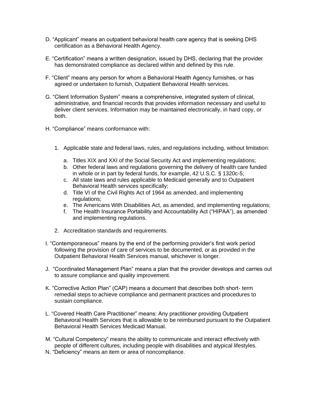- D. "Applicant" means an outpatient behavioral health care agency that is seeking DHS certification as a Behavioral Health Agency.
- E. "Certification" means a written designation, issued by DHS, declaring that the provider has demonstrated compliance as declared within and defined by this rule.
- F. "Client" means any person for whom a Behavioral Health Agency furnishes, or has agreed or undertaken to furnish, Outpatient Behavioral Health services.
- G. "Client Information System" means a comprehensive, integrated system of clinical, administrative, and financial records that provides information necessary and useful to deliver client services. Information may be maintained electronically, in hard copy, or both.
- H. "Compliance" means conformance with:
	- 1. Applicable state and federal laws, rules, and regulations including, without limitation:
		- a. Titles XIX and XXI of the Social Security Act and implementing regulations;
		- b. Other federal laws and regulations governing the delivery of health care funded in whole or in part by federal funds, for example, 42 U.S.C. § 1320c-5;
		- c. All state laws and rules applicable to Medicaid generally and to Outpatient Behavioral Health services specifically;
		- d. Title VI of the Civil Rights Act of 1964 as amended, and implementing regulations;
		- e. The Americans With Disabilities Act, as amended, and implementing regulations;
		- f. The Health Insurance Portability and Accountability Act ("HIPAA"), as amended and implementing regulations.
	- 2. Accreditation standards and requirements.
- I. "Contemporaneous" means by the end of the performing provider's first work period following the provision of care of services to be documented, or as provided in the Outpatient Behavioral Health Services manual, whichever is longer.
- J. "Coordinated Management Plan" means a plan that the provider develops and carries out to assure compliance and quality improvement.
- K. "Corrective Action Plan" (CAP) means a document that describes both short- term remedial steps to achieve compliance and permanent practices and procedures to sustain compliance.
- L. "Covered Health Care Practitioner" means: Any practitioner providing Outpatient Behavioral Health Services that is allowable to be reimbursed pursuant to the Outpatient Behavioral Health Services Medicaid Manual.
- M. "Cultural Competency" means the ability to communicate and interact effectively with people of different cultures, including people with disabilities and atypical lifestyles.
- N. "Deficiency" means an item or area of noncompliance.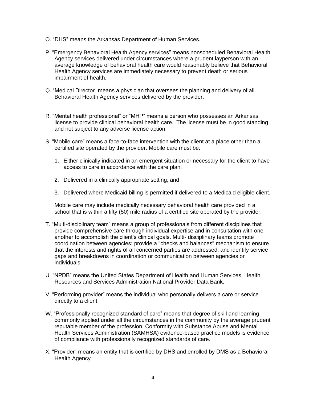- O. "DHS" means the Arkansas Department of Human Services.
- P. "Emergency Behavioral Health Agency services" means nonscheduled Behavioral Health Agency services delivered under circumstances where a prudent layperson with an average knowledge of behavioral health care would reasonably believe that Behavioral Health Agency services are immediately necessary to prevent death or serious impairment of health.
- Q. "Medical Director" means a physician that oversees the planning and delivery of all Behavioral Health Agency services delivered by the provider.
- R. "Mental health professional" or "MHP" means a person who possesses an Arkansas license to provide clinical behavioral health care. The license must be in good standing and not subject to any adverse license action.
- S. "Mobile care" means a face-to-face intervention with the client at a place other than a certified site operated by the provider. Mobile care must be:
	- 1. Either clinically indicated in an emergent situation or necessary for the client to have access to care in accordance with the care plan;
	- 2. Delivered in a clinically appropriate setting; and
	- 3. Delivered where Medicaid billing is permitted if delivered to a Medicaid eligible client.

Mobile care may include medically necessary behavioral health care provided in a school that is within a fifty (50) mile radius of a certified site operated by the provider.

- T. "Multi-disciplinary team" means a group of professionals from different disciplines that provide comprehensive care through individual expertise and in consultation with one another to accomplish the client's clinical goals. Multi- disciplinary teams promote coordination between agencies; provide a "checks and balances" mechanism to ensure that the interests and rights of all concerned parties are addressed; and identify service gaps and breakdowns in coordination or communication between agencies or individuals.
- U. "NPDB" means the United States Department of Health and Human Services, Health Resources and Services Administration National Provider Data Bank.
- V. "Performing provider" means the individual who personally delivers a care or service directly to a client.
- W. "Professionally recognized standard of care" means that degree of skill and learning commonly applied under all the circumstances in the community by the average prudent reputable member of the profession. Conformity with Substance Abuse and Mental Health Services Administration (SAMHSA) evidence-based practice models is evidence of compliance with professionally recognized standards of care.
- X. "Provider" means an entity that is certified by DHS and enrolled by DMS as a Behavioral Health Agency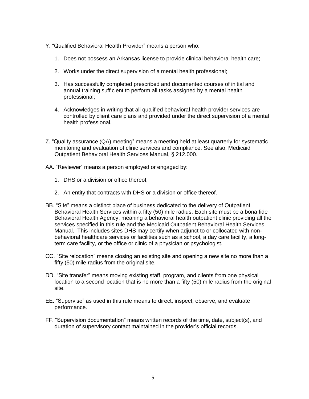- Y. "Qualified Behavioral Health Provider" means a person who:
	- 1. Does not possess an Arkansas license to provide clinical behavioral health care;
	- 2. Works under the direct supervision of a mental health professional;
	- 3. Has successfully completed prescribed and documented courses of initial and annual training sufficient to perform all tasks assigned by a mental health professional;
	- 4. Acknowledges in writing that all qualified behavioral health provider services are controlled by client care plans and provided under the direct supervision of a mental health professional.
- Z. "Quality assurance (QA) meeting" means a meeting held at least quarterly for systematic monitoring and evaluation of clinic services and compliance. See also, Medicaid Outpatient Behavioral Health Services Manual, § 212.000.
- AA. "Reviewer" means a person employed or engaged by:
	- 1. DHS or a division or office thereof;
	- 2. An entity that contracts with DHS or a division or office thereof.
- BB. "Site" means a distinct place of business dedicated to the delivery of Outpatient Behavioral Health Services within a fifty (50) mile radius. Each site must be a bona fide Behavioral Health Agency, meaning a behavioral health outpatient clinic providing all the services specified in this rule and the Medicaid Outpatient Behavioral Health Services Manual. This includes sites DHS may certify when adjunct to or collocated with nonbehavioral healthcare services or facilities such as a school, a day care facility, a longterm care facility, or the office or clinic of a physician or psychologist.
- CC. "Site relocation" means closing an existing site and opening a new site no more than a fifty (50) mile radius from the original site.
- DD. "Site transfer" means moving existing staff, program, and clients from one physical location to a second location that is no more than a fifty (50) mile radius from the original site.
- EE. "Supervise" as used in this rule means to direct, inspect, observe, and evaluate performance.
- FF. "Supervision documentation" means written records of the time, date, subject(s), and duration of supervisory contact maintained in the provider's official records.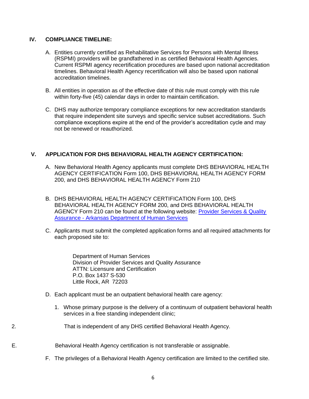# **IV. COMPLIANCE TIMELINE:**

- A. Entities currently certified as Rehabilitative Services for Persons with Mental Illness (RSPMI) providers will be grandfathered in as certified Behavioral Health Agencies. Current RSPMI agency recertification procedures are based upon national accreditation timelines. Behavioral Health Agency recertification will also be based upon national accreditation timelines.
- B. All entities in operation as of the effective date of this rule must comply with this rule within forty-five (45) calendar days in order to maintain certification.
- C. DHS may authorize temporary compliance exceptions for new accreditation standards that require independent site surveys and specific service subset accreditations. Such compliance exceptions expire at the end of the provider's accreditation cycle and may not be renewed or reauthorized.

# **V. APPLICATION FOR DHS BEHAVIORAL HEALTH AGENCY CERTIFICATION:**

- A. New Behavioral Health Agency applicants must complete DHS BEHAVIORAL HEALTH AGENCY CERTIFICATION Form 100, DHS BEHAVIORAL HEALTH AGENCY FORM 200, and DHS BEHAVIORAL HEALTH AGENCY Form 210
- B. DHS BEHAVIORAL HEALTH AGENCY CERTIFICATION Form 100, DHS BEHAVIORAL HEALTH AGENCY FORM 200, and DHS BEHAVIORAL HEALTH AGENCY Form 210 can be found at the following website: Provider Services & Quality Assurance - [Arkansas Department of Human Services](https://humanservices.arkansas.gov/divisions-shared-services/provider-services-quality-assurance/)
- C. Applicants must submit the completed application forms and all required attachments for each proposed site to:

Department of Human Services Division of Provider Services and Quality Assurance ATTN: Licensure and Certification P.O. Box 1437 S-530 Little Rock, AR 72203

- D. Each applicant must be an outpatient behavioral health care agency:
	- 1. Whose primary purpose is the delivery of a continuum of outpatient behavioral health services in a free standing independent clinic;

2. That is independent of any DHS certified Behavioral Health Agency.

E. Behavioral Health Agency certification is not transferable or assignable.

F. The privileges of a Behavioral Health Agency certification are limited to the certified site.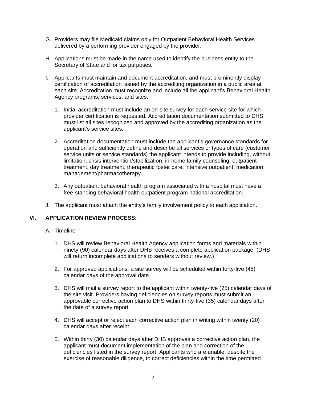- G. Providers may file Medicaid claims only for Outpatient Behavioral Health Services delivered by a performing provider engaged by the provider.
- H. Applications must be made in the name used to identify the business entity to the Secretary of State and for tax purposes.
- I. Applicants must maintain and document accreditation, and must prominently display certification of accreditation issued by the accrediting organization in a public area at each site. Accreditation must recognize and include all the applicant's Behavioral Health Agency programs, services, and sites.
	- 1. Initial accreditation must include an on-site survey for each service site for which provider certification is requested. Accreditation documentation submitted to DHS must list all sites recognized and approved by the accrediting organization as the applicant's service sites.
	- 2. Accreditation documentation must include the applicant's governance standards for operation and sufficiently define and describe all services or types of care (customer service units or service standards) the applicant intends to provide including, without limitation, crisis intervention/stabilization, in-home family counseling, outpatient treatment, day treatment, therapeutic foster care, intensive outpatient, medication management/pharmacotherapy.
	- 3. Any outpatient behavioral health program associated with a hospital must have a free-standing behavioral health outpatient program national accreditation.
- J. The applicant must attach the entity's family involvement policy to each application.

# **VI. APPLICATION REVIEW PROCESS:**

- A. Timeline:
	- 1. DHS will review Behavioral Health Agency application forms and materials within ninety (90) calendar days after DHS receives a complete application package. (DHS will return incomplete applications to senders without review.)
	- 2. For approved applications, a site survey will be scheduled within forty-five (45) calendar days of the approval date.
	- 3. DHS will mail a survey report to the applicant within twenty-five (25) calendar days of the site visit. Providers having deficiencies on survey reports must submit an approvable corrective action plan to DHS within thirty-five (35) calendar days after the date of a survey report.
	- 4. DHS will accept or reject each corrective action plan in writing within twenty (20) calendar days after receipt.
	- 5. Within thirty (30) calendar days after DHS approves a corrective action plan, the applicant must document implementation of the plan and correction of the deficiencies listed in the survey report. Applicants who are unable, despite the exercise of reasonable diligence, to correct deficiencies within the time permitted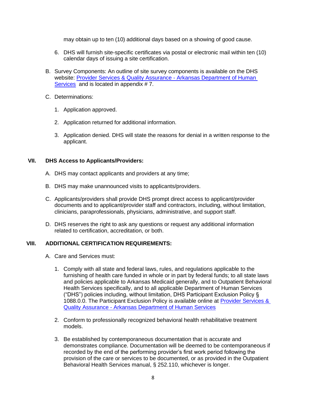may obtain up to ten (10) additional days based on a showing of good cause.

- 6. DHS will furnish site-specific certificates via postal or electronic mail within ten (10) calendar days of issuing a site certification.
- B. Survey Components: An outline of site survey components is available on the DHS website: [Provider Services & Quality Assurance -](https://humanservices.arkansas.gov/divisions-shared-services/provider-services-quality-assurance/) Arkansas Department of Human [Services](https://humanservices.arkansas.gov/divisions-shared-services/provider-services-quality-assurance/) and is located in appendix #7.
- C. Determinations:
	- 1. Application approved.
	- 2. Application returned for additional information.
	- 3. Application denied. DHS will state the reasons for denial in a written response to the applicant.

#### **VII. DHS Access to Applicants/Providers:**

- A. DHS may contact applicants and providers at any time;
- B. DHS may make unannounced visits to applicants/providers.
- C. Applicants/providers shall provide DHS prompt direct access to applicant/provider documents and to applicant/provider staff and contractors, including, without limitation, clinicians, paraprofessionals, physicians, administrative, and support staff.
- D. DHS reserves the right to ask any questions or request any additional information related to certification, accreditation, or both.

# **VIII. ADDITIONAL CERTIFICATION REQUIREMENTS:**

- A. Care and Services must:
	- 1. Comply with all state and federal laws, rules, and regulations applicable to the furnishing of health care funded in whole or in part by federal funds; to all state laws and policies applicable to Arkansas Medicaid generally, and to Outpatient Behavioral Health Services specifically, and to all applicable Department of Human Services ("DHS") policies including, without limitation, DHS Participant Exclusion Policy § 1088.0.0. The Participant Exclusion Policy is available online at [Provider Services &](https://humanservices.arkansas.gov/divisions-shared-services/provider-services-quality-assurance/)  Quality Assurance - [Arkansas Department of Human Services](https://humanservices.arkansas.gov/divisions-shared-services/provider-services-quality-assurance/)
	- 2. Conform to professionally recognized behavioral health rehabilitative treatment models.
	- 3. Be established by contemporaneous documentation that is accurate and demonstrates compliance. Documentation will be deemed to be contemporaneous if recorded by the end of the performing provider's first work period following the provision of the care or services to be documented, or as provided in the Outpatient Behavioral Health Services manual, § 252.110, whichever is longer.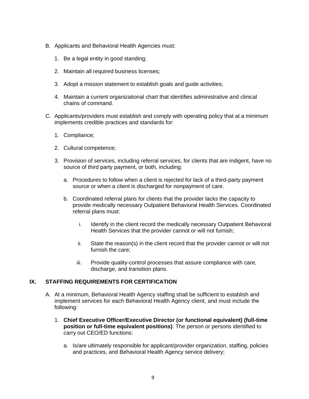- B. Applicants and Behavioral Health Agencies must:
	- 1. Be a legal entity in good standing;
	- 2. Maintain all required business licenses;
	- 3. Adopt a mission statement to establish goals and guide activities;
	- 4. Maintain a current organizational chart that identifies administrative and clinical chains of command.
- C. Applicants/providers must establish and comply with operating policy that at a minimum implements credible practices and standards for:
	- 1. Compliance;
	- 2. Cultural competence;
	- 3. Provision of services, including referral services, for clients that are indigent, have no source of third party payment, or both, including:
		- a. Procedures to follow when a client is rejected for lack of a third-party payment source or when a client is discharged for nonpayment of care.
		- b. Coordinated referral plans for clients that the provider lacks the capacity to provide medically necessary Outpatient Behavioral Health Services. Coordinated referral plans must:
			- i. Identify in the client record the medically necessary Outpatient Behavioral Health Services that the provider cannot or will not furnish;
			- ii. State the reason(s) in the client record that the provider cannot or will not furnish the care;
			- iii. Provide quality-control processes that assure compliance with care, discharge, and transition plans.

# **IX. STAFFING REQUIREMENTS FOR CERTIFICATION**

- A. At a minimum, Behavioral Health Agency staffing shall be sufficient to establish and implement services for each Behavioral Health Agency client, and must include the following:
	- 1. **Chief Executive Officer/Executive Director (or functional equivalent) (full-time position or full-time equivalent positions)**: The person or persons identified to carry out CEO/ED functions:
		- a. Is/are ultimately responsible for applicant/provider organization, staffing, policies and practices, and Behavioral Health Agency service delivery;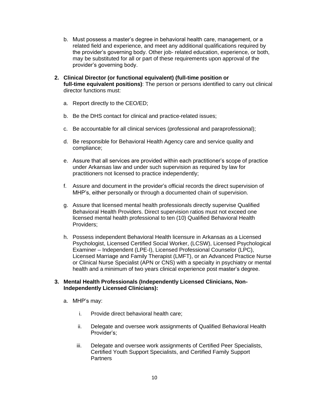- b. Must possess a master's degree in behavioral health care, management, or a related field and experience, and meet any additional qualifications required by the provider's governing body. Other job- related education, experience, or both, may be substituted for all or part of these requirements upon approval of the provider's governing body.
- **2. Clinical Director (or functional equivalent) (full-time position or full-time equivalent positions)**: The person or persons identified to carry out clinical director functions must:
	- a. Report directly to the CEO/ED;
	- b. Be the DHS contact for clinical and practice-related issues;
	- c. Be accountable for all clinical services (professional and paraprofessional);
	- d. Be responsible for Behavioral Health Agency care and service quality and compliance;
	- e. Assure that all services are provided within each practitioner's scope of practice under Arkansas law and under such supervision as required by law for practitioners not licensed to practice independently;
	- f. Assure and document in the provider's official records the direct supervision of MHP's, either personally or through a documented chain of supervision.
	- g. Assure that licensed mental health professionals directly supervise Qualified Behavioral Health Providers. Direct supervision ratios must not exceed one licensed mental health professional to ten (10) Qualified Behavioral Health Providers;
	- h. Possess independent Behavioral Health licensure in Arkansas as a Licensed Psychologist, Licensed Certified Social Worker, (LCSW), Licensed Psychological Examiner – Independent (LPE-I), Licensed Professional Counselor (LPC), Licensed Marriage and Family Therapist (LMFT), or an Advanced Practice Nurse or Clinical Nurse Specialist (APN or CNS) with a specialty in psychiatry or mental health and a minimum of two years clinical experience post master's degree.

# **3. Mental Health Professionals (Independently Licensed Clinicians, Non-Independently Licensed Clinicians):**

- a. MHP's may:
	- i. Provide direct behavioral health care;
	- ii. Delegate and oversee work assignments of Qualified Behavioral Health Provider's;
	- iii. Delegate and oversee work assignments of Certified Peer Specialists, Certified Youth Support Specialists, and Certified Family Support **Partners**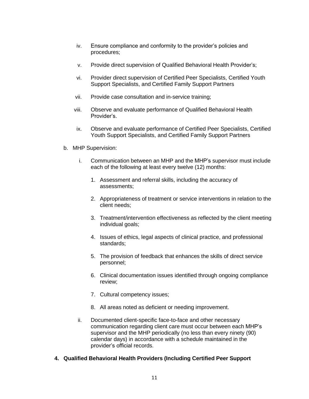- iv. Ensure compliance and conformity to the provider's policies and procedures;
- v. Provide direct supervision of Qualified Behavioral Health Provider's;
- vi. Provider direct supervision of Certified Peer Specialists, Certified Youth Support Specialists, and Certified Family Support Partners
- vii. Provide case consultation and in-service training;
- viii. Observe and evaluate performance of Qualified Behavioral Health Provider's.
- ix. Observe and evaluate performance of Certified Peer Specialists, Certified Youth Support Specialists, and Certified Family Support Partners
- b. MHP Supervision:
	- i. Communication between an MHP and the MHP's supervisor must include each of the following at least every twelve (12) months:
		- 1. Assessment and referral skills, including the accuracy of assessments;
		- 2. Appropriateness of treatment or service interventions in relation to the client needs;
		- 3. Treatment/intervention effectiveness as reflected by the client meeting individual goals;
		- 4. Issues of ethics, legal aspects of clinical practice, and professional standards;
		- 5. The provision of feedback that enhances the skills of direct service personnel;
		- 6. Clinical documentation issues identified through ongoing compliance review;
		- 7. Cultural competency issues;
		- 8. All areas noted as deficient or needing improvement.
	- ii. Documented client-specific face-to-face and other necessary communication regarding client care must occur between each MHP's supervisor and the MHP periodically (no less than every ninety (90) calendar days) in accordance with a schedule maintained in the provider's official records.

#### **4. Qualified Behavioral Health Providers (Including Certified Peer Support**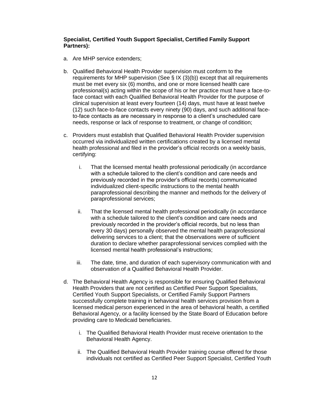#### **Specialist, Certified Youth Support Specialist, Certified Family Support Partners):**

- a. Are MHP service extenders;
- b. Qualified Behavioral Health Provider supervision must conform to the requirements for MHP supervision (See  $\S$  IX (3)(b)) except that all requirements must be met every six (6) months, and one or more licensed health care professional(s) acting within the scope of his or her practice must have a face-toface contact with each Qualified Behavioral Health Provider for the purpose of clinical supervision at least every fourteen (14) days, must have at least twelve (12) such face-to-face contacts every ninety (90) days, and such additional faceto-face contacts as are necessary in response to a client's unscheduled care needs, response or lack of response to treatment, or change of condition;
- c. Providers must establish that Qualified Behavioral Health Provider supervision occurred via individualized written certifications created by a licensed mental health professional and filed in the provider's official records on a weekly basis, certifying:
	- i. That the licensed mental health professional periodically (in accordance with a schedule tailored to the client's condition and care needs and previously recorded in the provider's official records) communicated individualized client-specific instructions to the mental health paraprofessional describing the manner and methods for the delivery of paraprofessional services;
	- ii. That the licensed mental health professional periodically (in accordance with a schedule tailored to the client's condition and care needs and previously recorded in the provider's official records, but no less than every 30 days) personally observed the mental health paraprofessional delivering services to a client; that the observations were of sufficient duration to declare whether paraprofessional services complied with the licensed mental health professional's instructions;
	- iii. The date, time, and duration of each supervisory communication with and observation of a Qualified Behavioral Health Provider.
- d. The Behavioral Health Agency is responsible for ensuring Qualified Behavioral Health Providers that are not certified as Certified Peer Support Specialists, Certified Youth Support Specialists, or Certified Family Support Partners successfully complete training in behavioral health services provision from a licensed medical person experienced in the area of behavioral health, a certified Behavioral Agency, or a facility licensed by the State Board of Education before providing care to Medicaid beneficiaries.
	- i. The Qualified Behavioral Health Provider must receive orientation to the Behavioral Health Agency.
	- ii. The Qualified Behavioral Health Provider training course offered for those individuals not certified as Certified Peer Support Specialist, Certified Youth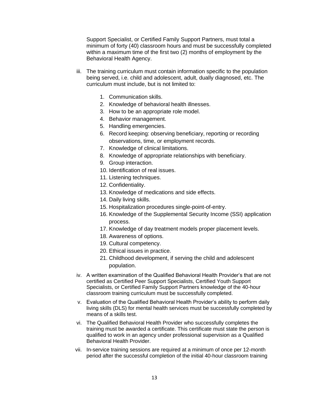Support Specialist, or Certified Family Support Partners, must total a minimum of forty (40) classroom hours and must be successfully completed within a maximum time of the first two (2) months of employment by the Behavioral Health Agency.

- iii. The training curriculum must contain information specific to the population being served, i.e. child and adolescent, adult, dually diagnosed, etc. The curriculum must include, but is not limited to:
	- 1. Communication skills.
	- 2. Knowledge of behavioral health illnesses.
	- 3. How to be an appropriate role model.
	- 4. Behavior management.
	- 5. Handling emergencies.
	- 6. Record keeping: observing beneficiary, reporting or recording observations, time, or employment records.
	- 7. Knowledge of clinical limitations.
	- 8. Knowledge of appropriate relationships with beneficiary.
	- 9. Group interaction.
	- 10. Identification of real issues.
	- 11. Listening techniques.
	- 12. Confidentiality.
	- 13. Knowledge of medications and side effects.
	- 14. Daily living skills.
	- 15. Hospitalization procedures single-point-of-entry.
	- 16. Knowledge of the Supplemental Security Income (SSI) application process.
	- 17. Knowledge of day treatment models proper placement levels.
	- 18. Awareness of options.
	- 19. Cultural competency.
	- 20. Ethical issues in practice.
	- 21. Childhood development, if serving the child and adolescent population.
- iv. A written examination of the Qualified Behavioral Health Provider's that are not certified as Certified Peer Support Specialists, Certified Youth Support Specialists, or Certified Family Support Partners knowledge of the 40-hour classroom training curriculum must be successfully completed.
- v. Evaluation of the Qualified Behavioral Health Provider's ability to perform daily living skills (DLS) for mental health services must be successfully completed by means of a skills test.
- vi. The Qualified Behavioral Health Provider who successfully completes the training must be awarded a certificate. This certificate must state the person is qualified to work in an agency under professional supervision as a Qualified Behavioral Health Provider.
- vii. In-service training sessions are required at a minimum of once per 12-month period after the successful completion of the initial 40-hour classroom training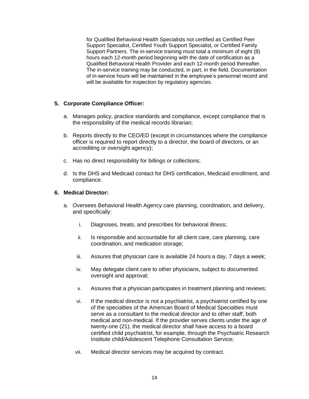for Qualified Behavioral Health Specialists not certified as Certified Peer Support Specialist, Certified Youth Support Specialist, or Certified Family Support Partners. The in-service training must total a minimum of eight (8) hours each 12-month period beginning with the date of certification as a Qualified Behavioral Health Provider and each 12-month period thereafter. The in-service training may be conducted, in part, in the field. Documentation of in-service hours will be maintained in the employee's personnel record and will be available for inspection by regulatory agencies.

# **5. Corporate Compliance Officer:**

- a. Manages policy, practice standards and compliance, except compliance that is the responsibility of the medical records librarian;
- b. Reports directly to the CEO/ED (except in circumstances where the compliance officer is required to report directly to a director, the board of directors, or an accrediting or oversight agency);
- c. Has no direct responsibility for billings or collections;
- d. Is the DHS and Medicaid contact for DHS certification, Medicaid enrollment, and compliance.

# **6. Medical Director:**

- a. Oversees Behavioral Health Agency care planning, coordination, and delivery, and specifically:
	- i. Diagnoses, treats, and prescribes for behavioral illness;
	- ii. Is responsible and accountable for all client care, care planning, care coordination, and medication storage;
	- iii. Assures that physician care is available 24 hours a day, 7 days a week;
	- iv. May delegate client care to other physicians, subject to documented oversight and approval;
	- v. Assures that a physician participates in treatment planning and reviews;
	- vi. If the medical director is not a psychiatrist, a psychiatrist certified by one of the specialties of the American Board of Medical Specialties must serve as a consultant to the medical director and to other staff, both medical and non-medical. If the provider serves clients under the age of twenty-one (21), the medical director shall have access to a board certified child psychiatrist, for example, through the Psychiatric Research Institute child/Adolescent Telephone Consultation Service;
	- vii. Medical director services may be acquired by contract.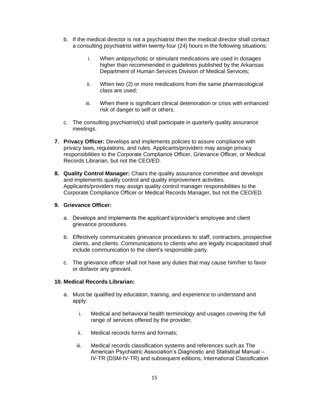- b. If the medical director is not a psychiatrist then the medical director shall contact a consulting psychiatrist within twenty-four (24) hours in the following situations:
	- i. When antipsychotic or stimulant medications are used in dosages higher than recommended in guidelines published by the Arkansas Department of Human Services Division of Medical Services;
	- ii. When two (2) or more medications from the same pharmacological class are used;
	- iii. When there is significant clinical deterioration or crisis with enhanced risk of danger to self or others.
- c. The consulting psychiatrist(s) shall participate in quarterly quality assurance meetings.
- **7. Privacy Officer:** Develops and implements policies to assure compliance with privacy laws, regulations, and rules. Applicants/providers may assign privacy responsibilities to the Corporate Compliance Officer, Grievance Officer, or Medical Records Librarian, but not the CEO/ED.
- **8. Quality Control Manager:** Chairs the quality assurance committee and develops and implements quality control and quality improvement activities. Applicants/providers may assign quality control manager responsibilities to the Corporate Compliance Officer or Medical Records Manager, but not the CEO/ED.

# **9. Grievance Officer:**

- a. Develops and implements the applicant's/provider's employee and client grievance procedures.
- b. Effectively communicates grievance procedures to staff, contractors, prospective clients, and clients. Communications to clients who are legally incapacitated shall include communication to the client's responsible party.
- c. The grievance officer shall not have any duties that may cause him/her to favor or disfavor any grievant.

# **10. Medical Records Librarian:**

- a. Must be qualified by education, training, and experience to understand and apply:
	- i. Medical and behavioral health terminology and usages covering the full range of services offered by the provider;
	- ii. Medical records forms and formats;
	- iii. Medical records classification systems and references such as The American Psychiatric Association's Diagnostic and Statistical Manual – IV-TR (DSM-IV-TR) and subsequent editions, International Classification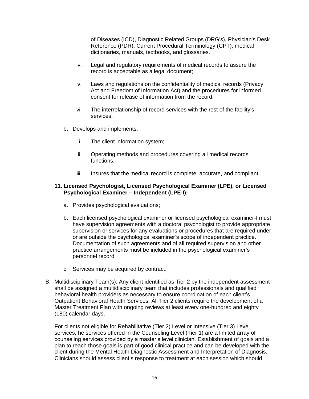of Diseases (ICD), Diagnostic Related Groups (DRG's), Physician's Desk Reference (PDR), Current Procedural Terminology (CPT), medical dictionaries, manuals, textbooks, and glossaries.

- iv. Legal and regulatory requirements of medical records to assure the record is acceptable as a legal document;
- v. Laws and regulations on the confidentiality of medical records (Privacy Act and Freedom of Information Act) and the procedures for informed consent for release of information from the record.
- vi. The interrelationship of record services with the rest of the facility's services.
- b. Develops and implements:
	- i. The client information system;
	- ii. Operating methods and procedures covering all medical records functions.
	- iii. Insures that the medical record is complete, accurate, and compliant.

# **11. Licensed Psychologist, Licensed Psychological Examiner (LPE), or Licensed Psychological Examiner – Independent (LPE-I):**

- a. Provides psychological evaluations;
- b. Each licensed psychological examiner or licensed psychological examiner-I must have supervision agreements with a doctoral psychologist to provide appropriate supervision or services for any evaluations or procedures that are required under or are outside the psychological examiner's scope of independent practice. Documentation of such agreements and of all required supervision and other practice arrangements must be included in the psychological examiner's personnel record;
- c. Services may be acquired by contract.
- B. Multidisciplinary Team(s): Any client identified as Tier 2 by the independent assessment shall be assigned a multidisciplinary team that includes professionals and qualified behavioral health providers as necessary to ensure coordination of each client's Outpatient Behavioral Health Services. All Tier 2 clients require the development of a Master Treatment Plan with ongoing reviews at least every one-hundred and eighty (180) calendar days.

For clients not eligible for Rehabilitative (Tier 2) Level or Intensive (Tier 3) Level services, he services offered in the Counseling Level (Tier 1) are a limited array of counseling services provided by a master's level clinician. Establishment of goals and a plan to reach those goals is part of good clinical practice and can be developed with the client during the Mental Health Diagnostic Assessment and Interpretation of Diagnosis. Clinicians should assess client's response to treatment at each session which should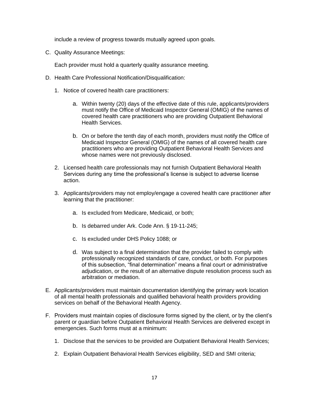include a review of progress towards mutually agreed upon goals.

C. Quality Assurance Meetings:

Each provider must hold a quarterly quality assurance meeting.

- D. Health Care Professional Notification/Disqualification:
	- 1. Notice of covered health care practitioners:
		- a. Within twenty (20) days of the effective date of this rule, applicants/providers must notify the Office of Medicaid Inspector General (OMIG) of the names of covered health care practitioners who are providing Outpatient Behavioral Health Services.
		- b. On or before the tenth day of each month, providers must notify the Office of Medicaid Inspector General (OMIG) of the names of all covered health care practitioners who are providing Outpatient Behavioral Health Services and whose names were not previously disclosed.
	- 2. Licensed health care professionals may not furnish Outpatient Behavioral Health Services during any time the professional's license is subject to adverse license action.
	- 3. Applicants/providers may not employ/engage a covered health care practitioner after learning that the practitioner:
		- a. Is excluded from Medicare, Medicaid, or both;
		- b. Is debarred under Ark. Code Ann. § 19-11-245;
		- c. Is excluded under DHS Policy 1088; or
		- d. Was subject to a final determination that the provider failed to comply with professionally recognized standards of care, conduct, or both. For purposes of this subsection, "final determination" means a final court or administrative adjudication, or the result of an alternative dispute resolution process such as arbitration or mediation.
- E. Applicants/providers must maintain documentation identifying the primary work location of all mental health professionals and qualified behavioral health providers providing services on behalf of the Behavioral Health Agency.
- F. Providers must maintain copies of disclosure forms signed by the client, or by the client's parent or guardian before Outpatient Behavioral Health Services are delivered except in emergencies. Such forms must at a minimum:
	- 1. Disclose that the services to be provided are Outpatient Behavioral Health Services;
	- 2. Explain Outpatient Behavioral Health Services eligibility, SED and SMI criteria;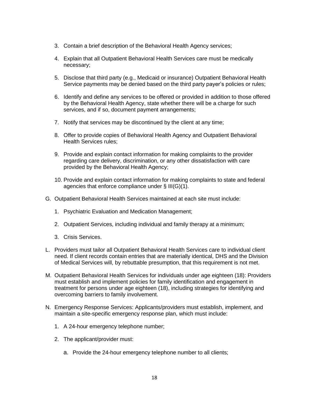- 3. Contain a brief description of the Behavioral Health Agency services;
- 4. Explain that all Outpatient Behavioral Health Services care must be medically necessary;
- 5. Disclose that third party (e.g., Medicaid or insurance) Outpatient Behavioral Health Service payments may be denied based on the third party payer's policies or rules;
- 6. Identify and define any services to be offered or provided in addition to those offered by the Behavioral Health Agency, state whether there will be a charge for such services, and if so, document payment arrangements;
- 7. Notify that services may be discontinued by the client at any time;
- 8. Offer to provide copies of Behavioral Health Agency and Outpatient Behavioral Health Services rules;
- 9. Provide and explain contact information for making complaints to the provider regarding care delivery, discrimination, or any other dissatisfaction with care provided by the Behavioral Health Agency;
- 10. Provide and explain contact information for making complaints to state and federal agencies that enforce compliance under § III(G)(1).
- G. Outpatient Behavioral Health Services maintained at each site must include:
	- 1. Psychiatric Evaluation and Medication Management;
	- 2. Outpatient Services, including individual and family therapy at a minimum;
	- 3. Crisis Services.
- L. Providers must tailor all Outpatient Behavioral Health Services care to individual client need. If client records contain entries that are materially identical, DHS and the Division of Medical Services will, by rebuttable presumption, that this requirement is not met.
- M. Outpatient Behavioral Health Services for individuals under age eighteen (18): Providers must establish and implement policies for family identification and engagement in treatment for persons under age eighteen (18), including strategies for identifying and overcoming barriers to family involvement.
- N. Emergency Response Services: Applicants/providers must establish, implement, and maintain a site-specific emergency response plan, which must include:
	- 1. A 24-hour emergency telephone number;
	- 2. The applicant/provider must:
		- a. Provide the 24-hour emergency telephone number to all clients;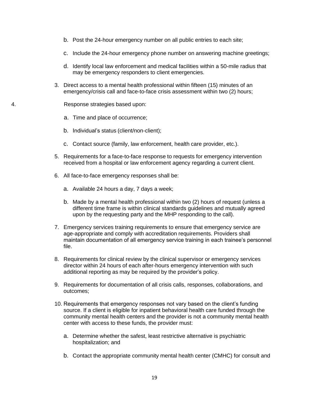- b. Post the 24-hour emergency number on all public entries to each site;
- c. Include the 24-hour emergency phone number on answering machine greetings;
- d. Identify local law enforcement and medical facilities within a 50-mile radius that may be emergency responders to client emergencies.
- 3. Direct access to a mental health professional within fifteen (15) minutes of an emergency/crisis call and face-to-face crisis assessment within two (2) hours;

4. Response strategies based upon:

- a. Time and place of occurrence;
- b. Individual's status (client/non-client);
- c. Contact source (family, law enforcement, health care provider, etc.).
- 5. Requirements for a face-to-face response to requests for emergency intervention received from a hospital or law enforcement agency regarding a current client.
- 6. All face-to-face emergency responses shall be:
	- a. Available 24 hours a day, 7 days a week;
	- b. Made by a mental health professional within two (2) hours of request (unless a different time frame is within clinical standards guidelines and mutually agreed upon by the requesting party and the MHP responding to the call).
- 7. Emergency services training requirements to ensure that emergency service are age-appropriate and comply with accreditation requirements. Providers shall maintain documentation of all emergency service training in each trainee's personnel file.
- 8. Requirements for clinical review by the clinical supervisor or emergency services director within 24 hours of each after-hours emergency intervention with such additional reporting as may be required by the provider's policy.
- 9. Requirements for documentation of all crisis calls, responses, collaborations, and outcomes;
- 10. Requirements that emergency responses not vary based on the client's funding source. If a client is eligible for inpatient behavioral health care funded through the community mental health centers and the provider is not a community mental health center with access to these funds, the provider must:
	- a. Determine whether the safest, least restrictive alternative is psychiatric hospitalization; and
	- b. Contact the appropriate community mental health center (CMHC) for consult and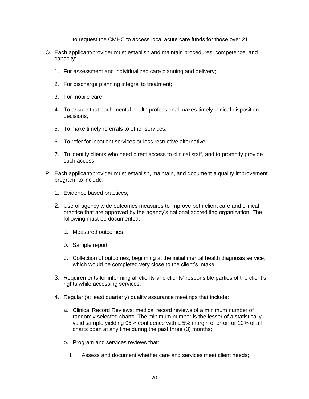to request the CMHC to access local acute care funds for those over 21.

- O. Each applicant/provider must establish and maintain procedures, competence, and capacity:
	- 1. For assessment and individualized care planning and delivery;
	- 2. For discharge planning integral to treatment;
	- 3. For mobile care;
	- 4. To assure that each mental health professional makes timely clinical disposition decisions;
	- 5. To make timely referrals to other services;
	- 6. To refer for inpatient services or less restrictive alternative;
	- 7. To identify clients who need direct access to clinical staff, and to promptly provide such access.
- P. Each applicant/provider must establish, maintain, and document a quality improvement program, to include:
	- 1. Evidence based practices;
	- 2. Use of agency wide outcomes measures to improve both client care and clinical practice that are approved by the agency's national accrediting organization. The following must be documented:
		- a. Measured outcomes
		- b. Sample report
		- c. Collection of outcomes, beginning at the initial mental health diagnosis service, which would be completed very close to the client's intake.
	- 3. Requirements for informing all clients and clients' responsible parties of the client's rights while accessing services.
	- 4. Regular (at least quarterly) quality assurance meetings that include:
		- a. Clinical Record Reviews: medical record reviews of a minimum number of randomly selected charts. The minimum number is the lesser of a statistically valid sample yielding 95% confidence with a 5% margin of error; or 10% of all charts open at any time during the past three (3) months;
		- b. Program and services reviews that:
			- i. Assess and document whether care and services meet client needs;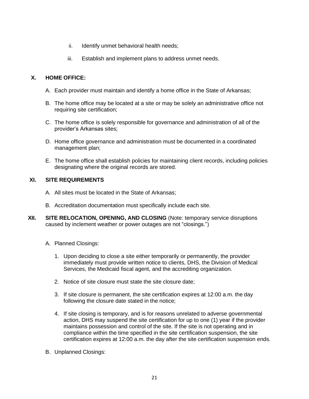- ii. Identify unmet behavioral health needs;
- iii. Establish and implement plans to address unmet needs.

# **X. HOME OFFICE:**

- A. Each provider must maintain and identify a home office in the State of Arkansas;
- B. The home office may be located at a site or may be solely an administrative office not requiring site certification;
- C. The home office is solely responsible for governance and administration of all of the provider's Arkansas sites;
- D. Home office governance and administration must be documented in a coordinated management plan;
- E. The home office shall establish policies for maintaining client records, including policies designating where the original records are stored.

# **XI. SITE REQUIREMENTS**

- A. All sites must be located in the State of Arkansas;
- B. Accreditation documentation must specifically include each site.
- **XII. SITE RELOCATION, OPENING, AND CLOSING** (Note: temporary service disruptions caused by inclement weather or power outages are not "closings.")
	- A. Planned Closings:
		- 1. Upon deciding to close a site either temporarily or permanently, the provider immediately must provide written notice to clients, DHS, the Division of Medical Services, the Medicaid fiscal agent, and the accrediting organization.
		- 2. Notice of site closure must state the site closure date;
		- 3. If site closure is permanent, the site certification expires at 12:00 a.m. the day following the closure date stated in the notice;
		- 4. If site closing is temporary, and is for reasons unrelated to adverse governmental action, DHS may suspend the site certification for up to one (1) year if the provider maintains possession and control of the site. If the site is not operating and in compliance within the time specified in the site certification suspension, the site certification expires at 12:00 a.m. the day after the site certification suspension ends.
	- B. Unplanned Closings: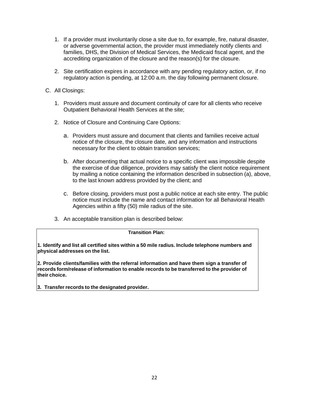- 1. If a provider must involuntarily close a site due to, for example, fire, natural disaster, or adverse governmental action, the provider must immediately notify clients and families, DHS, the Division of Medical Services, the Medicaid fiscal agent, and the accrediting organization of the closure and the reason(s) for the closure.
- 2. Site certification expires in accordance with any pending regulatory action, or, if no regulatory action is pending, at 12:00 a.m. the day following permanent closure.
- C. All Closings:
	- 1. Providers must assure and document continuity of care for all clients who receive Outpatient Behavioral Health Services at the site;
	- 2. Notice of Closure and Continuing Care Options:
		- a. Providers must assure and document that clients and families receive actual notice of the closure, the closure date, and any information and instructions necessary for the client to obtain transition services;
		- b. After documenting that actual notice to a specific client was impossible despite the exercise of due diligence, providers may satisfy the client notice requirement by mailing a notice containing the information described in subsection (a), above, to the last known address provided by the client; and
		- c. Before closing, providers must post a public notice at each site entry. The public notice must include the name and contact information for all Behavioral Health Agencies within a fifty (50) mile radius of the site.
	- 3. An acceptable transition plan is described below:

# **Transition Plan:**

**1. Identify and list all certified sites within a 50 mile radius. Include telephone numbers and physical addresses on the list.**

**2. Provide clients/families with the referral information and have them sign a transfer of records form/release of information to enable records to be transferred to the provider of their choice.**

**3. Transfer records to the designated provider.**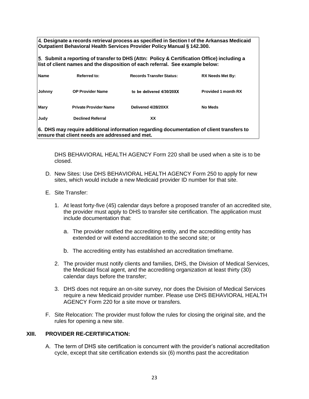**Designate a records retrieval process as specified in Section I of the Arkansas Medicaid Outpatient Behavioral Health Services Provider Policy Manual § 142.300.**

**Submit a reporting of transfer to DHS (Attn: Policy & Certification Office) including a list of client names and the disposition of each referral. See example below:**

| <b>Name</b>                                                                              | Referred to:                 | <b>Records Transfer Status:</b> | <b>RX Needs Met By:</b>    |
|------------------------------------------------------------------------------------------|------------------------------|---------------------------------|----------------------------|
| Johnny                                                                                   | <b>OP Provider Name</b>      | to be delivered 4/30/20XX       | <b>Provided 1 month RX</b> |
| Mary                                                                                     | <b>Private Provider Name</b> | Delivered 4/28/20XX             | No Meds                    |
| Judy                                                                                     | <b>Declined Referral</b>     | xх                              |                            |
| 6. DHS may require additional information regarding documentation of client transfers to |                              |                                 |                            |

**ensure that client needs are addressed and met.**

DHS BEHAVIORAL HEALTH AGENCY Form 220 shall be used when a site is to be closed.

- D. New Sites: Use DHS BEHAVIORAL HEALTH AGENCY Form 250 to apply for new sites, which would include a new Medicaid provider ID number for that site.
- E. Site Transfer:
	- 1. At least forty-five (45) calendar days before a proposed transfer of an accredited site, the provider must apply to DHS to transfer site certification. The application must include documentation that:
		- a. The provider notified the accrediting entity, and the accrediting entity has extended or will extend accreditation to the second site; or
		- b. The accrediting entity has established an accreditation timeframe.
	- 2. The provider must notify clients and families, DHS, the Division of Medical Services, the Medicaid fiscal agent, and the accrediting organization at least thirty (30) calendar days before the transfer;
	- 3. DHS does not require an on-site survey, nor does the Division of Medical Services require a new Medicaid provider number. Please use DHS BEHAVIORAL HEALTH AGENCY Form 220 for a site move or transfers.
- F. Site Relocation: The provider must follow the rules for closing the original site, and the rules for opening a new site.

# **XIII. PROVIDER RE-CERTIFICATION:**

A. The term of DHS site certification is concurrent with the provider's national accreditation cycle, except that site certification extends six (6) months past the accreditation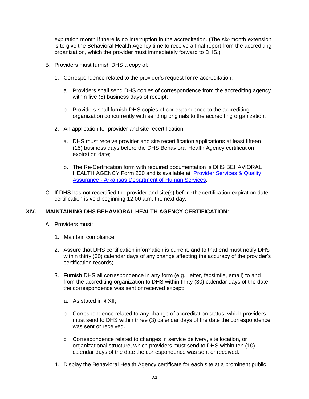expiration month if there is no interruption in the accreditation. (The six-month extension is to give the Behavioral Health Agency time to receive a final report from the accrediting organization, which the provider must immediately forward to DHS.)

- B. Providers must furnish DHS a copy of:
	- 1. Correspondence related to the provider's request for re-accreditation:
		- a. Providers shall send DHS copies of correspondence from the accrediting agency within five (5) business days of receipt;
		- b. Providers shall furnish DHS copies of correspondence to the accrediting organization concurrently with sending originals to the accrediting organization.
	- 2. An application for provider and site recertification:
		- a. DHS must receive provider and site recertification applications at least fifteen (15) business days before the DHS Behavioral Health Agency certification expiration date;
		- b. The Re-Certification form with required documentation is DHS BEHAVIORAL HEALTH AGENCY Form 230 and is available at [Provider Services & Quality](https://humanservices.arkansas.gov/divisions-shared-services/provider-services-quality-assurance/)  Assurance - [Arkansas Department of Human Services.](https://humanservices.arkansas.gov/divisions-shared-services/provider-services-quality-assurance/)
- C. If DHS has not recertified the provider and site(s) before the certification expiration date, certification is void beginning 12:00 a.m. the next day.

# **XIV. MAINTAINING DHS BEHAVIORAL HEALTH AGENCY CERTIFICATION:**

- A. Providers must:
	- 1. Maintain compliance;
	- 2. Assure that DHS certification information is current, and to that end must notify DHS within thirty (30) calendar days of any change affecting the accuracy of the provider's certification records;
	- 3. Furnish DHS all correspondence in any form (e.g., letter, facsimile, email) to and from the accrediting organization to DHS within thirty (30) calendar days of the date the correspondence was sent or received except:
		- a. As stated in § XII;
		- b. Correspondence related to any change of accreditation status, which providers must send to DHS within three (3) calendar days of the date the correspondence was sent or received.
		- c. Correspondence related to changes in service delivery, site location, or organizational structure, which providers must send to DHS within ten (10) calendar days of the date the correspondence was sent or received.
	- 4. Display the Behavioral Health Agency certificate for each site at a prominent public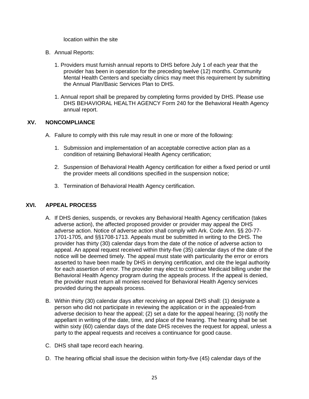location within the site

- B. Annual Reports:
	- 1. Providers must furnish annual reports to DHS before July 1 of each year that the provider has been in operation for the preceding twelve (12) months. Community Mental Health Centers and specialty clinics may meet this requirement by submitting the Annual Plan/Basic Services Plan to DHS.
	- 1. Annual report shall be prepared by completing forms provided by DHS. Please use DHS BEHAVIORAL HEALTH AGENCY Form 240 for the Behavioral Health Agency annual report.

# **XV. NONCOMPLIANCE**

- A. Failure to comply with this rule may result in one or more of the following:
	- 1. Submission and implementation of an acceptable corrective action plan as a condition of retaining Behavioral Health Agency certification;
	- 2. Suspension of Behavioral Health Agency certification for either a fixed period or until the provider meets all conditions specified in the suspension notice;
	- 3. Termination of Behavioral Health Agency certification.

# **XVI. APPEAL PROCESS**

- A. If DHS denies, suspends, or revokes any Behavioral Health Agency certification (takes adverse action), the affected proposed provider or provider may appeal the DHS adverse action. Notice of adverse action shall comply with Ark. Code Ann. §§ 20-77- 1701-1705, and §§1708-1713. Appeals must be submitted in writing to the DHS. The provider has thirty (30) calendar days from the date of the notice of adverse action to appeal. An appeal request received within thirty-five (35) calendar days of the date of the notice will be deemed timely. The appeal must state with particularity the error or errors asserted to have been made by DHS in denying certification, and cite the legal authority for each assertion of error. The provider may elect to continue Medicaid billing under the Behavioral Health Agency program during the appeals process. If the appeal is denied, the provider must return all monies received for Behavioral Health Agency services provided during the appeals process.
- B. Within thirty (30) calendar days after receiving an appeal DHS shall: (1) designate a person who did not participate in reviewing the application or in the appealed-from adverse decision to hear the appeal; (2) set a date for the appeal hearing; (3) notify the appellant in writing of the date, time, and place of the hearing. The hearing shall be set within sixty (60) calendar days of the date DHS receives the request for appeal, unless a party to the appeal requests and receives a continuance for good cause.
- C. DHS shall tape record each hearing.
- D. The hearing official shall issue the decision within forty-five (45) calendar days of the